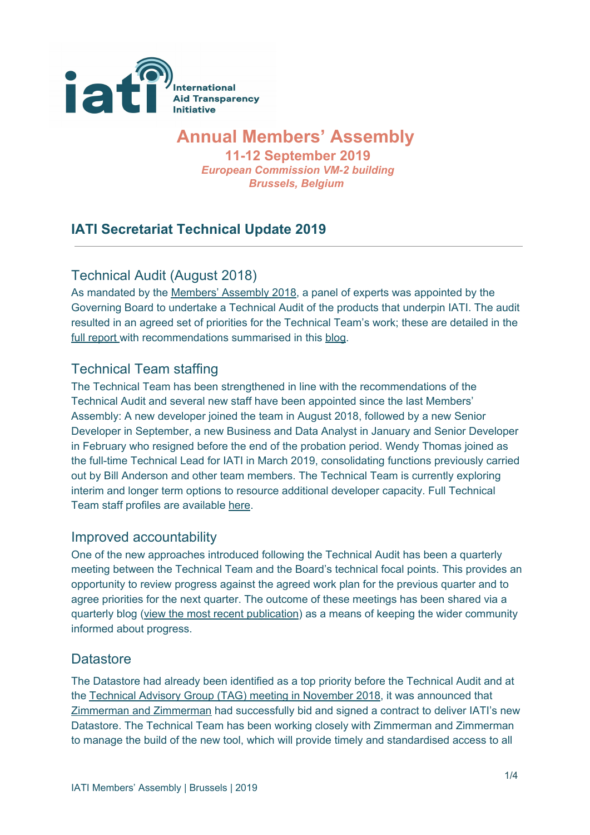

# **Annual Members' Assembly**

**11-12 September 2019** *European Commission VM-2 building Brussels, Belgium*

# **IATI Secretariat Technical Update 2019**

# Technical Audit (August 2018)

As mandated by the [Members'](https://iatistandard.org/documents/660/2018_MA_Minutes_FINAL_circulated_Friday_September_7th_2018.pdf) Assembly 2018, a panel of experts was appointed by the Governing Board to undertake a Technical Audit of the products that underpin IATI. The audit resulted in an agreed set of priorities for the Technical Team's work; these are detailed in the full [report](https://iatistandard.org/documents/665/IATI_Technical_Audit_team_report.pdf) with recommendations summarised in this [blog.](https://iatistandard.org/en/news/board-decisions-on-iati-technical-audit/)

#### Technical Team staffing

The Technical Team has been strengthened in line with the recommendations of the Technical Audit and several new staff have been appointed since the last Members' Assembly: A new developer joined the team in August 2018, followed by a new Senior Developer in September, a new Business and Data Analyst in January and Senior Developer in February who resigned before the end of the probation period. Wendy Thomas joined as the full-time Technical Lead for IATI in March 2019, consolidating functions previously carried out by Bill Anderson and other team members. The Technical Team is currently exploring interim and longer term options to resource additional developer capacity. Full Technical Team staff profiles are available [here](https://iatistandard.org/en/about/governance/who-runs-iati/technical-team/).

#### Improved accountability

One of the new approaches introduced following the Technical Audit has been a quarterly meeting between the Technical Team and the Board's technical focal points. This provides an opportunity to review progress against the agreed work plan for the previous quarter and to agree priorities for the next quarter. The outcome of these meetings has been shared via a quarterly blog (view the most recent [publication\)](https://iatistandard.org/en/news/iati-technical-team-quarterly-update/) as a means of keeping the wider community informed about progress.

#### **Datastore**

The Datastore had already been identified as a top priority before the Technical Audit and at the Technical Advisory Group (TAG) meeting in [November](https://iatistandard.org/en/events/tag-2018-kathmandu/) 2018, it was announced that [Zimmerman](https://www.zimmermanzimmerman.nl/) and Zimmerman had successfully bid and signed a contract to deliver IATI's new Datastore. The Technical Team has been working closely with Zimmerman and Zimmerman to manage the build of the new tool, which will provide timely and standardised access to all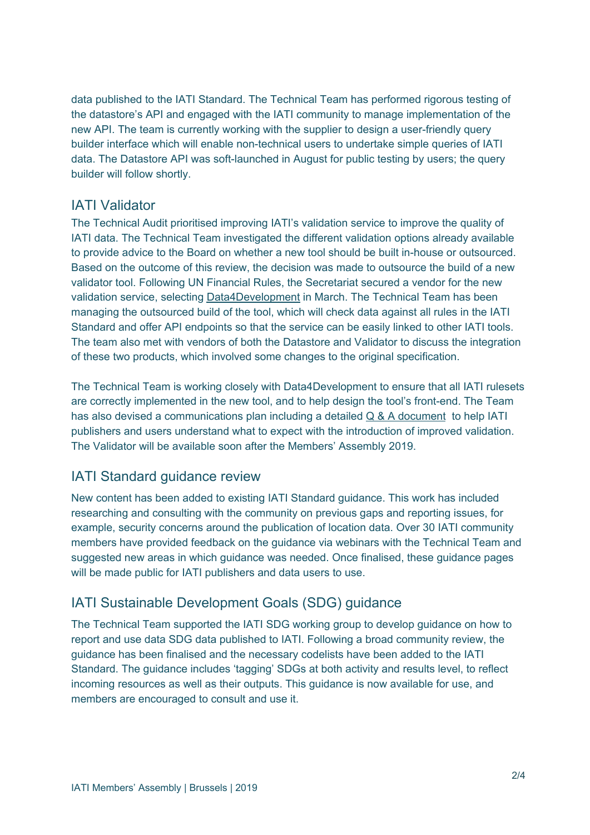data published to the IATI Standard. The Technical Team has performed rigorous testing of the datastore's API and engaged with the IATI community to manage implementation of the new API. The team is currently working with the supplier to design a user-friendly query builder interface which will enable non-technical users to undertake simple queries of IATI data. The Datastore API was soft-launched in August for public testing by users; the query builder will follow shortly.

#### IATI Validator

The Technical Audit prioritised improving IATI's validation service to improve the quality of IATI data. The Technical Team investigated the different validation options already available to provide advice to the Board on whether a new tool should be built in-house or outsourced. Based on the outcome of this review, the decision was made to outsource the build of a new validator tool. Following UN Financial Rules, the Secretariat secured a vendor for the new validation service, selecting [Data4Development](https://data4development.nl/en/) in March. The Technical Team has been managing the outsourced build of the tool, which will check data against all rules in the IATI Standard and offer API endpoints so that the service can be easily linked to other IATI tools. The team also met with vendors of both the Datastore and Validator to discuss the integration of these two products, which involved some changes to the original specification.

The Technical Team is working closely with Data4Development to ensure that all IATI rulesets are correctly implemented in the new tool, and to help design the tool's front-end. The Team has also devised a communications plan including a detailed Q & A [document](https://docs.google.com/document/d/1HVLJsAcerr9y9DfY1-P9ZckWTqoUgQWi9ix5xwFLeos/edit?usp=sharing) to help IATI publishers and users understand what to expect with the introduction of improved validation. The Validator will be available soon after the Members' Assembly 2019.

#### IATI Standard guidance review

New content has been added to existing IATI Standard guidance. This work has included researching and consulting with the community on previous gaps and reporting issues, for example, security concerns around the publication of location data. Over 30 IATI community members have provided feedback on the guidance via webinars with the Technical Team and suggested new areas in which guidance was needed. Once finalised, these guidance pages will be made public for IATI publishers and data users to use.

#### IATI Sustainable Development Goals (SDG) guidance

The Technical Team supported the IATI SDG working group to develop guidance on how to report and use data SDG data published to IATI. Following a broad community review, the guidance has been finalised and the necessary codelists have been added to the IATI Standard. The guidance includes 'tagging' SDGs at both activity and results level, to reflect incoming resources as well as their outputs. This guidance is now available for use, and members are encouraged to consult and use it.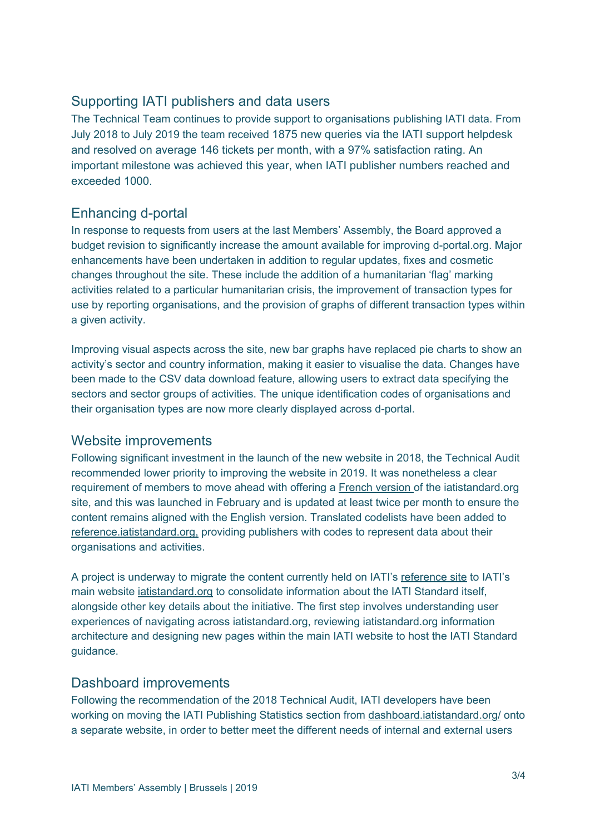# Supporting IATI publishers and data users

The Technical Team continues to provide support to organisations publishing IATI data. From July 2018 to July 2019 the team received 1875 new queries via the IATI support helpdesk and resolved on average 146 tickets per month, with a 97% satisfaction rating. An important milestone was achieved this year, when IATI publisher numbers reached and exceeded 1000.

# Enhancing d-portal

In response to requests from users at the last Members' Assembly, the Board approved a budget revision to significantly increase the amount available for improving d-portal.org. Major enhancements have been undertaken in addition to regular updates, fixes and cosmetic changes throughout the site. These include the addition of a humanitarian 'flag' marking activities related to a particular humanitarian crisis, the improvement of transaction types for use by reporting organisations, and the provision of graphs of different transaction types within a given activity.

Improving visual aspects across the site, new bar graphs have replaced pie charts to show an activity's sector and country information, making it easier to visualise the data. Changes have been made to the CSV data download feature, allowing users to extract data specifying the sectors and sector groups of activities. The unique identification codes of organisations and their organisation types are now more clearly displayed across d-portal.

#### Website improvements

Following significant investment in the launch of the new website in 2018, the Technical Audit recommended lower priority to improving the website in 2019. It was nonetheless a clear requirement of members to move ahead with offering a French [version](https://iatistandard.org/fr/) of the iatistandard.org site, and this was launched in February and is updated at least twice per month to ensure the content remains aligned with the English version. Translated codelists have been added to [reference.iatistandard.org,](http://reference.iatistandard.org/) providing publishers with codes to represent data about their organisations and activities.

A project is underway to migrate the content currently held on IATI's [reference](http://reference.iatistandard.org/) site to IATI's main website [iatistandard.org](https://iatistandard.org/en/) to consolidate information about the IATI Standard itself, alongside other key details about the initiative. The first step involves understanding user experiences of navigating across iatistandard.org, reviewing iatistandard.org information architecture and designing new pages within the main IATI website to host the IATI Standard guidance.

#### Dashboard improvements

Following the recommendation of the 2018 Technical Audit, IATI developers have been working on moving the IATI Publishing Statistics section from [dashboard.iatistandard.org/](http://dashboard.iatistandard.org/) onto a separate website, in order to better meet the different needs of internal and external users